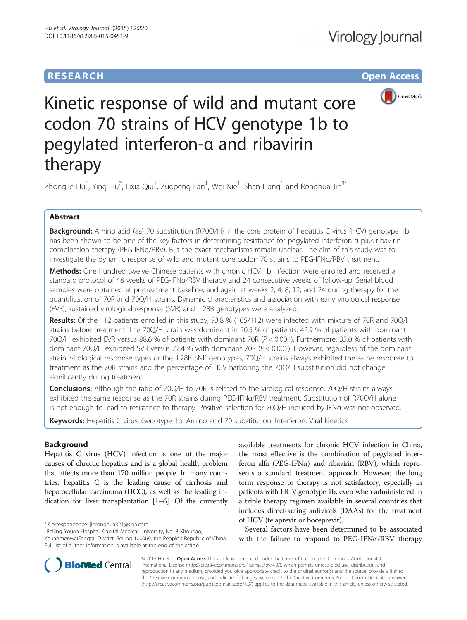# **RESEARCH CHE Open Access**



# Kinetic response of wild and mutant core codon 70 strains of HCV genotype 1b to pegylated interferon-α and ribavirin therapy

Zhongjie Hu<sup>1</sup>, Ying Liu<sup>2</sup>, Lixia Qiu<sup>1</sup>, Zuopeng Fan<sup>1</sup>, Wei Nie<sup>1</sup>, Shan Liang<sup>1</sup> and Ronghua Jin<sup>3\*</sup>

# Abstract

Background: Amino acid (aa) 70 substitution (R70Q/H) in the core protein of hepatitis C virus (HCV) genotype 1b has been shown to be one of the key factors in determining resistance for pegylated interferon-α plus ribavirin combination therapy (PEG-IFNα/RBV). But the exact mechanisms remain unclear. The aim of this study was to investigate the dynamic response of wild and mutant core codon 70 strains to PEG-IFNα/RBV treatment.

Methods: One hundred twelve Chinese patients with chronic HCV 1b infection were enrolled and received a standard protocol of 48 weeks of PEG-IFNα/RBV therapy and 24 consecutive weeks of follow-up. Serial blood samples were obtained at pretreatment baseline, and again at weeks 2, 4, 8, 12, and 24 during therapy for the quantification of 70R and 70Q/H strains. Dynamic characteristics and association with early virological response (EVR), sustained virological response (SVR) and IL28B genotypes were analyzed.

Results: Of the 112 patients enrolled in this study, 93.8 % (105/112) were infected with mixture of 70R and 70Q/H strains before treatment. The 70Q/H strain was dominant in 20.5 % of patients. 42.9 % of patients with dominant 70Q/H exhibited EVR versus 88.6 % of patients with dominant 70R (P < 0.001). Furthermore, 35.0 % of patients with dominant 70Q/H exhibited SVR versus 77.4 % with dominant 70R (P < 0.001). However, regardless of the dominant strain, virological response types or the IL28B SNP genotypes, 70Q/H strains always exhibited the same response to treatment as the 70R strains and the percentage of HCV harboring the 70Q/H substitution did not change significantly during treatment.

Conclusions: Although the ratio of 70Q/H to 70R is related to the virological response, 70Q/H strains always exhibited the same response as the 70R strains during PEG-IFNα/RBV treatment. Substitution of R70Q/H alone is not enough to lead to resistance to therapy. Positive selection for 70Q/H induced by IFNα was not observed.

Keywords: Hepatitis C virus, Genotype 1b, Amino acid 70 substitution, Interferon, Viral kinetics

## Background

Hepatitis C virus (HCV) infection is one of the major causes of chronic hepatitis and is a global health problem that affects more than 170 million people. In many countries, hepatitis C is the leading cause of cirrhosis and hepatocellular carcinoma (HCC), as well as the leading indication for liver transplantation [[1](#page-9-0)–[6\]](#page-9-0). Of the currently

 $3$ Beijing Youan Hospital, Capital Medical University, No. 8 Xitoutiao,

YouanmenwaiFengtai District, Beijing 100069, the People's Republic of China Full list of author information is available at the end of the article

available treatments for chronic HCV infection in China, the most effective is the combination of pegylated interferon alfa (PEG-IFN $\alpha$ ) and ribavirin (RBV), which represents a standard treatment approach. However, the long term response to therapy is not satisfactory, especially in patients with HCV genotype 1b, even when administered in a triple therapy regimen available in several countries that includes direct-acting antivirals (DAAs) for the treatment of HCV (telaprevir or boceprevir).

Several factors have been determined to be associated with the failure to respond to  $PEG-IFN\alpha/RBV$  therapy



© 2015 Hu et al. Open Access This article is distributed under the terms of the Creative Commons Attribution 4.0 International License [\(http://creativecommons.org/licenses/by/4.0/](http://creativecommons.org/licenses/by/4.0/)), which permits unrestricted use, distribution, and reproduction in any medium, provided you give appropriate credit to the original author(s) and the source, provide a link to the Creative Commons license, and indicate if changes were made. The Creative Commons Public Domain Dedication waiver [\(http://creativecommons.org/publicdomain/zero/1.0/](http://creativecommons.org/publicdomain/zero/1.0/)) applies to the data made available in this article, unless otherwise stated.

<sup>\*</sup> Correspondence: [jinronghua321@sina.com](mailto:jinronghua321@sina.com) <sup>3</sup>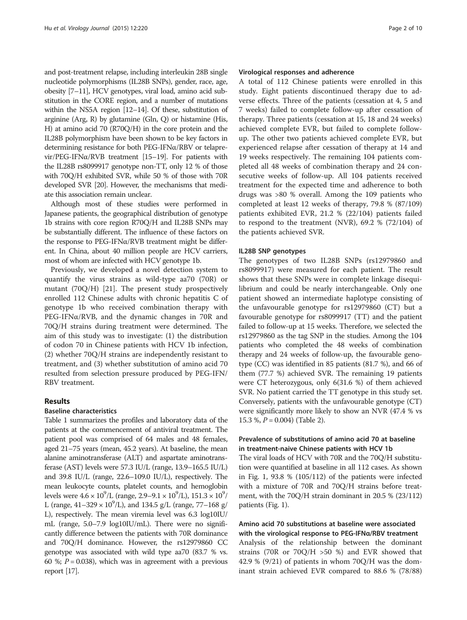and post-treatment relapse, including interleukin 28B single nucleotide polymorphisms (IL28B SNPs), gender, race, age, obesity [\[7](#page-9-0)–[11\]](#page-9-0), HCV genotypes, viral load, amino acid substitution in the CORE region, and a number of mutations within the NS5A region [\[12](#page-9-0)–[14\]](#page-9-0). Of these, substitution of arginine (Arg, R) by glutamine (Gln, Q) or histamine (His, H) at amino acid 70 (R70Q/H) in the core protein and the IL28B polymorphism have been shown to be key factors in determining resistance for both PEG-IFNα/RBV or telaprevir/PEG-IFNα/RVB treatment [[15](#page-9-0)–[19](#page-9-0)]. For patients with the IL28B rs8099917 genotype non-TT, only 12 % of those with 70Q/H exhibited SVR, while 50 % of those with 70R developed SVR [\[20\]](#page-9-0). However, the mechanisms that mediate this association remain unclear.

Although most of these studies were performed in Japanese patients, the geographical distribution of genotype 1b strains with core region R70Q/H and IL28B SNPs may be substantially different. The influence of these factors on the response to PEG-IFNα/RVB treatment might be different. In China, about 40 million people are HCV carriers, most of whom are infected with HCV genotype 1b.

Previously, we developed a novel detection system to quantify the virus strains as wild-type aa70 (70R) or mutant (70Q/H) [\[21](#page-9-0)]. The present study prospectively enrolled 112 Chinese adults with chronic hepatitis C of genotype 1b who received combination therapy with PEG-IFNα/RVB, and the dynamic changes in 70R and 70Q/H strains during treatment were determined. The aim of this study was to investigate: (1) the distribution of codon 70 in Chinese patients with HCV 1b infection, (2) whether 70Q/H strains are independently resistant to treatment, and (3) whether substitution of amino acid 70 resulted from selection pressure produced by PEG-IFN/ RBV treatment.

## Results

#### Baseline characteristics

Table [1](#page-2-0) summarizes the profiles and laboratory data of the patients at the commencement of antiviral treatment. The patient pool was comprised of 64 males and 48 females, aged 21–75 years (mean, 45.2 years). At baseline, the mean alanine aminotransferase (ALT) and aspartate aminotransferase (AST) levels were 57.3 IU/L (range, 13.9–165.5 IU/L) and 39.8 IU/L (range, 22.6–109.0 IU/L), respectively. The mean leukocyte counts, platelet counts, and hemoglobin levels were  $4.6 \times 10^9$ /L (range,  $2.9 - 9.1 \times 10^9$ /L),  $151.3 \times 10^9$ / L (range,  $41-329 \times 10^9$ /L), and 134.5 g/L (range, 77–168 g/ L), respectively. The mean viremia level was 6.3 log10IU/ mL (range, 5.0–7.9 log10IU/mL). There were no significantly difference between the patients with 70R dominance and 70Q/H dominance. However, the rs12979860 CC genotype was associated with wild type aa70 (83.7 % vs. 60 %;  $P = 0.038$ ), which was in agreement with a previous report [\[17\]](#page-9-0).

#### Virological responses and adherence

A total of 112 Chinese patients were enrolled in this study. Eight patients discontinued therapy due to adverse effects. Three of the patients (cessation at 4, 5 and 7 weeks) failed to complete follow-up after cessation of therapy. Three patients (cessation at 15, 18 and 24 weeks) achieved complete EVR, but failed to complete followup. The other two patients achieved complete EVR, but experienced relapse after cessation of therapy at 14 and 19 weeks respectively. The remaining 104 patients completed all 48 weeks of combination therapy and 24 consecutive weeks of follow-up. All 104 patients received treatment for the expected time and adherence to both drugs was >80 % overall. Among the 109 patients who completed at least 12 weeks of therapy, 79.8 % (87/109) patients exhibited EVR, 21.2 % (22/104) patients failed to respond to the treatment (NVR), 69.2 % (72/104) of the patients achieved SVR.

#### IL28B SNP genotypes

The genotypes of two IL28B SNPs (rs12979860 and rs8099917) were measured for each patient. The result shows that these SNPs were in complete linkage disequilibrium and could be nearly interchangeable. Only one patient showed an intermediate haplotype consisting of the unfavourable genotype for rs12979860 (CT) but a favourable genotype for rs8099917 (TT) and the patient failed to follow-up at 15 weeks. Therefore, we selected the rs12979860 as the tag SNP in the studies. Among the 104 patients who completed the 48 weeks of combination therapy and 24 weeks of follow-up, the favourable genotype (CC) was identified in 85 patients (81.7 %), and 66 of them (77.7 %) achieved SVR. The remaining 19 patients were CT heterozygous, only 6(31.6 %) of them achieved SVR. No patient carried the TT genotype in this study set. Conversely, patients with the unfavourable genotype (CT) were significantly more likely to show an NVR (47.4 % vs 15.3 %,  $P = 0.004$ ) (Table [2\)](#page-3-0).

#### Prevalence of substitutions of amino acid 70 at baseline in treatment-naive Chinese patients with HCV 1b

The viral loads of HCV with 70R and the 70Q/H substitution were quantified at baseline in all 112 cases. As shown in Fig. [1,](#page-3-0) 93.8 % (105/112) of the patients were infected with a mixture of 70R and 70Q/H strains before treatment, with the 70Q/H strain dominant in 20.5 % (23/112) patients (Fig. [1\)](#page-3-0).

### Amino acid 70 substitutions at baseline were associated with the virological response to PEG-IFNα/RBV treatment

Analysis of the relationship between the dominant strains (70R or 70Q/H  $>50$  %) and EVR showed that 42.9 % (9/21) of patients in whom 70Q/H was the dominant strain achieved EVR compared to 88.6 % (78/88)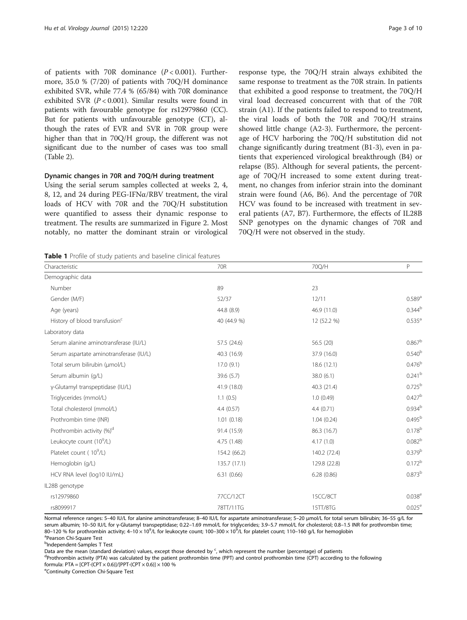<span id="page-2-0"></span>of patients with 70R dominance  $(P < 0.001)$ . Furthermore, 35.0 % (7/20) of patients with 70Q/H dominance exhibited SVR, while 77.4 % (65/84) with 70R dominance exhibited SVR  $(P < 0.001)$ . Similar results were found in patients with favourable genotype for rs12979860 (CC). But for patients with unfavourable genotype (CT), although the rates of EVR and SVR in 70R group were higher than that in 70Q/H group, the different was not significant due to the number of cases was too small (Table [2](#page-3-0)).

#### Dynamic changes in 70R and 70Q/H during treatment

Using the serial serum samples collected at weeks 2, 4, 8, 12, and 24 during PEG-IFN $\alpha$ /RBV treatment, the viral loads of HCV with 70R and the 70Q/H substitution were quantified to assess their dynamic response to treatment. The results are summarized in Figure [2](#page-5-0). Most notably, no matter the dominant strain or virological

Table 1 Profile of study patients and baseline clinical features

response type, the 70Q/H strain always exhibited the same response to treatment as the 70R strain. In patients that exhibited a good response to treatment, the 70Q/H viral load decreased concurrent with that of the 70R strain (A1). If the patients failed to respond to treatment, the viral loads of both the 70R and 70Q/H strains showed little change (A2-3). Furthermore, the percentage of HCV harboring the 70Q/H substitution did not change significantly during treatment (B1-3), even in patients that experienced virological breakthrough (B4) or relapse (B5). Although for several patients, the percentage of 70Q/H increased to some extent during treatment, no changes from inferior strain into the dominant strain were found (A6, B6). And the percentage of 70R HCV was found to be increased with treatment in several patients (A7, B7). Furthermore, the effects of IL28B SNP genotypes on the dynamic changes of 70R and 70Q/H were not observed in the study.

| Age (years)                               | 44.8 (8.9)   | 46.9 (11.0)  | $0.344^{k}$          |
|-------------------------------------------|--------------|--------------|----------------------|
| History of blood transfusion <sup>c</sup> | 40 (44.9 %)  | 12 (52.2 %)  | $0.535^{8}$          |
| Laboratory data                           |              |              |                      |
| Serum alanine aminotransferase (IU/L)     | 57.5 (24.6)  | 56.5 (20)    | 0.867 <sup>k</sup>   |
| Serum aspartate aminotransferase (IU/L)   | 40.3 (16.9)  | 37.9 (16.0)  | 0.540 <sup>k</sup>   |
| Total serum bilirubin (umol/L)            | 17.0(9.1)    | 18.6(12.1)   | 0.476 <sup>k</sup>   |
| Serum albumin (g/L)                       | 39.6(5.7)    | 38.0(6.1)    | $0.241^{k}$          |
| y-Glutamyl transpeptidase (IU/L)          | 41.9 (18.0)  | 40.3 (21.4)  | 0.725 <sup>k</sup>   |
| Triglycerides (mmol/L)                    | 1.1(0.5)     | 1.0(0.49)    | 0.427 <sup>k</sup>   |
| Total cholesterol (mmol/L)                | 4.4(0.57)    | 4.4(0.71)    | $0.934^{b}$          |
| Prothrombin time (INR)                    | 1.01(0.18)   | 1.04(0.24)   | 0.495 <sup>k</sup>   |
| Prothrombin activity (%) <sup>d</sup>     | 91.4 (15.9)  | 86.3 (16.7)  | $0.178^{b}$          |
| Leukocyte count (10 <sup>9</sup> /L)      | 4.75 (1.48)  | 4.17(1.0)    | 0.082 <sup>k</sup>   |
| Platelet count (10 <sup>9</sup> /L)       | 154.2 (66.2) | 140.2 (72.4) | $0.379^{k}$          |
| Hemoglobin (g/L)                          | 135.7 (17.1) | 129.8 (22.8) | $0.172^{k}$          |
| HCV RNA level (log10 IU/mL)               | 6.31(0.66)   | 6.28(0.86)   | 0.873 <sup>k</sup>   |
| IL28B genotype                            |              |              |                      |
| rs12979860                                | 77CC/12CT    | 15CC/8CT     | $0.038$ <sup>e</sup> |
| rs8099917                                 | 78TT/11TG    | 15TT/8TG     | $0.025$ <sup>e</sup> |

Characteristic **Characteristic** Characteristic **70R** 70Q/H P P 70Q/H P P 2002/H P P 2002/H P 2002/H P 2012

Gender (M/F) 6.589<sup>a</sup> (Gender (M/F) 52/37 52/37 52/37 52/37 52/37 52/37 539<sup>a</sup> (Gender (M/F) 52/37 539<sup>a</sup> (Gender (M/F) 52/37 539<sup>a</sup> (Gender (M/F) 539<sup>a</sup>

Number 89 23

Pearson Chi-Square Test

Demographic data

<sup>b</sup>Independent-Samples T Test

Data are the mean (standard deviation) values, except those denoted by <sup>c</sup>, which represent the number (percentage) of patients deviation (DTA) represent the number (percentage) of patients

<sup>d</sup>Prothrombin activity (PTA) was calculated by the patient prothrombin time (PPT) and control prothrombin time (CPT) according to the following formula: PTA =  $[CPT-(CPT \times 0.6)]/[PPT-(CPT \times 0.6)] \times 100$  %

eContinuity Correction Chi-Square Test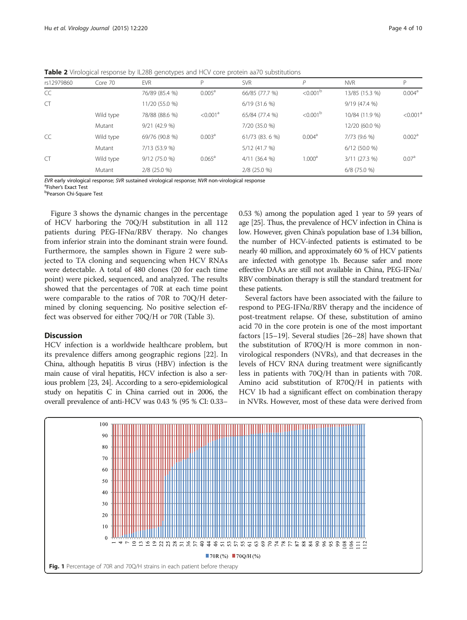<span id="page-3-0"></span>Table 2 Virological response by IL28B genotypes and HCV core protein aa70 substitutions

| rs12979860 | Core 70   | <b>EVR</b>      | D                      | <b>SVR</b>      | D                    | <b>NVR</b>      | P                    |
|------------|-----------|-----------------|------------------------|-----------------|----------------------|-----------------|----------------------|
| CC         |           | 76/89 (85.4 %)  | 0.005 <sup>a</sup>     | 66/85 (77.7 %)  | < 0.001 <sup>b</sup> | 13/85 (15.3 %)  | 0.004 <sup>a</sup>   |
| CT         |           | 11/20 (55.0 %)  |                        | $6/19$ (31.6 %) |                      | 9/19(47.4%      |                      |
|            | Wild type | 78/88 (88.6 %)  | $< 0.001$ <sup>a</sup> | 65/84 (77.4 %)  | < 0.001 <sup>b</sup> | 10/84 (11.9 %)  | < 0.001 <sup>a</sup> |
|            | Mutant    | $9/21$ (42.9 %) |                        | 7/20 (35.0 %)   |                      | 12/20 (60.0 %)  |                      |
| CC         | Wild type | 69/76 (90.8 %)  | 0.003 <sup>a</sup>     | 61/73 (83. 6 %) | 0.004 <sup>a</sup>   | 7/73 (9.6 %)    | 0.002 <sup>a</sup>   |
|            | Mutant    | 7/13 (53.9 %)   |                        | 5/12 (41.7 %)   |                      | $6/12$ (50.0 %) |                      |
| <b>CT</b>  | Wild type | 9/12 (75.0 %)   | $0.065^{\text{a}}$     | $4/11$ (36.4 %) | 1.000 <sup>a</sup>   | 3/11 (27.3 %)   | 0.07 <sup>a</sup>    |
|            | Mutant    | $2/8$ (25.0 %)  |                        | $2/8$ (25.0 %)  |                      | $6/8$ (75.0 %)  |                      |

EVR early virological response; SVR sustained virological response; NVR non-virological response <sup>a</sup>

<sup>a</sup>Fisher's Exact Test

Pearson Chi-Square Test

Figure [3](#page-5-0) shows the dynamic changes in the percentage of HCV harboring the 70Q/H substitution in all 112 patients during PEG-IFNα/RBV therapy. No changes from inferior strain into the dominant strain were found. Furthermore, the samples shown in Figure [2](#page-5-0) were subjected to TA cloning and sequencing when HCV RNAs were detectable. A total of 480 clones (20 for each time point) were picked, sequenced, and analyzed. The results showed that the percentages of 70R at each time point were comparable to the ratios of 70R to 70Q/H determined by cloning sequencing. No positive selection effect was observed for either 70Q/H or 70R (Table [3](#page-6-0)).

#### Discussion

HCV infection is a worldwide healthcare problem, but its prevalence differs among geographic regions [[22\]](#page-9-0). In China, although hepatitis B virus (HBV) infection is the main cause of viral hepatitis, HCV infection is also a serious problem [\[23](#page-9-0), [24](#page-9-0)]. According to a sero-epidemiological study on hepatitis C in China carried out in 2006, the overall prevalence of anti-HCV was 0.43 % (95 % CI: 0.33–

0.53 %) among the population aged 1 year to 59 years of age [\[25\]](#page-9-0). Thus, the prevalence of HCV infection in China is low. However, given China's population base of 1.34 billion, the number of HCV-infected patients is estimated to be nearly 40 million, and approximately 60 % of HCV patients are infected with genotype 1b. Because safer and more effective DAAs are still not available in China, PEG-IFNα/ RBV combination therapy is still the standard treatment for these patients.

Several factors have been associated with the failure to respond to PEG-IFNα/RBV therapy and the incidence of post-treatment relapse. Of these, substitution of amino acid 70 in the core protein is one of the most important factors [\[15](#page-9-0)–[19](#page-9-0)]. Several studies [\[26](#page-9-0)–[28\]](#page-9-0) have shown that the substitution of R70Q/H is more common in nonvirological responders (NVRs), and that decreases in the levels of HCV RNA during treatment were significantly less in patients with 70Q/H than in patients with 70R. Amino acid substitution of R70Q/H in patients with HCV 1b had a significant effect on combination therapy in NVRs. However, most of these data were derived from

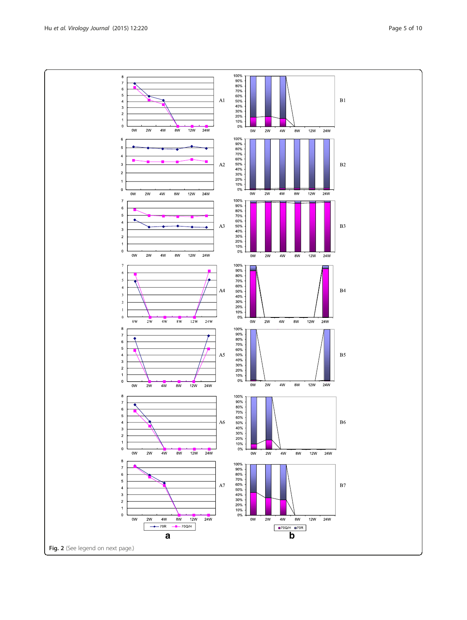$\begin{array}{c} 100\% \\ 90\% \\ 80\% \\ 70\% \end{array}$  $\bf8$  $\bar{7}$  $\overline{6}$  $\begin{array}{c} 5 \\ 4 \\ 3 \end{array}$  $60\%$ <br> $50\%$ <br> $40\%$  ${\rm A}1$  $\frac{30\%}{20\%}$ <br>  $\frac{20\%}{10\%}$  $\overline{\mathbf{2}}$  $\mathbf{1}$  $\mathfrak o$  $\frac{1}{12W}$  $0\mathsf{W}$  $2W$  $4\mathsf{W}$  $8W$  $24W$  $\overline{ow}$  $2W$  $4W$  $\frac{1}{8W}$  $12W$ 100%  $\,$  6 90%  $\overline{5}$  $\begin{array}{l} 100\% \\ 80\% \\ 60\% \\ 60\% \\ 40\% \\ 20\% \\ 20\% \\ 10\% \end{array}$  $\overline{4}$  $A2$  $\overline{3}$  $\overline{\mathbf{c}}$  $\overline{1}$  $\mathbf 0$  $0\%$ 



 $B1$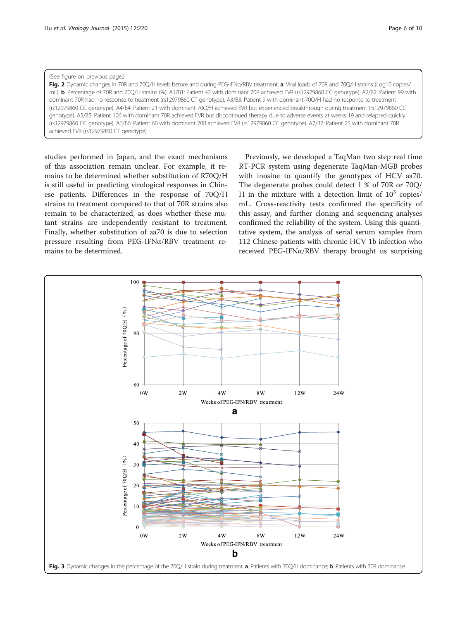#### <span id="page-5-0"></span>(See figure on previous page.)

Fig. 2 Dynamic changes in 70R and 70Q/H levels before and during PEG-IFNa/RBV treatment. a. Viral loads of 70R and 70Q/H strains (Log10 copies/ mL). b. Percentage of 70R and 70Q/H strains (%). A1/B1: Patient 42 with dominant 70R achieved EVR (rs12979860 CC genotype). A2/B2: Patient 99 with dominant 70R had no response to treatment (rs12979860 CT genotype). A3/B3: Patient 9 with dominant 70Q/H had no response to treatment (rs12979860 CC genotype). A4/B4: Patient 21 with dominant 70Q/H achieved EVR but experienced breakthrough during treatment (rs12979860 CC genotype). A5/B5: Patient 106 with dominant 70R achieved EVR but discontinued therapy due to adverse events at weeks 19 and relapsed quickly (rs12979860 CC genotype). A6/B6: Patient 60 with dominant 70R achieved EVR (rs12979860 CC genotype). A7/B7: Patient 25 with dominant 70R achieved EVR (rs12979860 CT genotype)

studies performed in Japan, and the exact mechanisms of this association remain unclear. For example, it remains to be determined whether substitution of R70Q/H is still useful in predicting virological responses in Chinese patients. Differences in the response of 70Q/H strains to treatment compared to that of 70R strains also remain to be characterized, as does whether these mutant strains are independently resistant to treatment. Finally, whether substitution of aa70 is due to selection pressure resulting from PEG-IFNα/RBV treatment remains to be determined.

Previously, we developed a TaqMan two step real time RT-PCR system using degenerate TaqMan-MGB probes with inosine to quantify the genotypes of HCV aa70. The degenerate probes could detect 1 % of 70R or 70Q/ H in the mixture with a detection limit of  $10^3$  copies/ mL. Cross-reactivity tests confirmed the specificity of this assay, and further cloning and sequencing analyses confirmed the reliability of the system. Using this quantitative system, the analysis of serial serum samples from 112 Chinese patients with chronic HCV 1b infection who received PEG-IFNα/RBV therapy brought us surprising

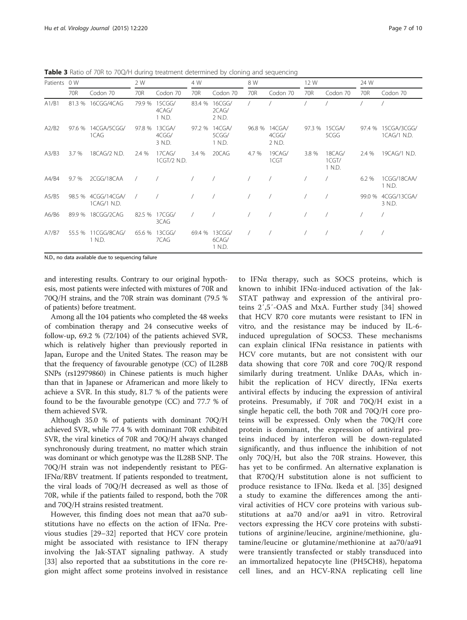<span id="page-6-0"></span>**Table 3** Ratio of 70R to 70Q/H during treatment determined by cloning and sequencing

| Patients | 0 W    |                                   | 2 W        |                           | 4 W    |                                  | 8 W   |                                  | 12 W  |                           | 24 W   |                             |
|----------|--------|-----------------------------------|------------|---------------------------|--------|----------------------------------|-------|----------------------------------|-------|---------------------------|--------|-----------------------------|
|          | 70R    | Codon 70                          | 70R        | Codon 70                  | 70R    | Codon 70                         | 70R   | Codon 70                         | 70R   | Codon 70                  | 70R    | Codon 70                    |
| A1/B1    | 81.3 % | 16CGG/4CAG                        | 79.9 %     | 15CGG/<br>4CAG/<br>1 N.D. | 83.4 % | 16CGG/<br>2CAG/<br>2 N.D.        |       |                                  |       |                           |        |                             |
| A2/B2    | 97.6 % | 14CGA/5CGG/<br>1CAG               | 97.8 %     | 13CGA/<br>4CGG/<br>3 N.D. |        | 97.2 % 14CGA/<br>5CGG/<br>1 N.D. |       | 96.8 % 14CGA/<br>4CGG/<br>2 N.D. |       | 97.3 % 15CGA/<br>5CGG     | 97.4 % | 15CGA/3CGG/<br>1 CAG/1 N.D. |
| A3/B3    | 3.7 %  | 18CAG/2 N.D.                      | 2.4 %      | 17CAG/<br>1CGT/2 N.D.     | 3.4%   | 20CAG                            | 4.7 % | 19CAG/<br>1CGT                   | 3.8 % | 18CAG/<br>1CGT/<br>1 N.D. | 2.4 %  | 19CAG/1 N.D.                |
| A4/B4    | 9.7%   | 2CGG/18CAA                        | $\sqrt{2}$ |                           |        |                                  |       |                                  |       |                           | 6.2 %  | 1CGG/18CAA/<br>1 N.D.       |
| A5/B5    |        | 98.5 % 4CGG/14CGA/<br>1CAG/1 N.D. |            |                           |        |                                  |       |                                  |       |                           | 99.0 % | 4CGG/13CGA/<br>3 N.D.       |
| A6/B6    | 89.9 % | 18CGG/2CAG                        |            | 82.5 % 17CGG/<br>3CAG     |        |                                  |       |                                  |       |                           |        |                             |
| A7/B7    | 55.5 % | 11CGG/8CAG/<br>1 N.D.             |            | 65.6 % 13CGG/<br>7CAG     |        | 69.4 % 13CGG/<br>6CAG/<br>1 N.D. |       |                                  |       |                           |        |                             |

N.D., no data available due to sequencing failure

and interesting results. Contrary to our original hypothesis, most patients were infected with mixtures of 70R and 70Q/H strains, and the 70R strain was dominant (79.5 % of patients) before treatment.

Among all the 104 patients who completed the 48 weeks of combination therapy and 24 consecutive weeks of follow-up, 69.2 % (72/104) of the patients achieved SVR, which is relatively higher than previously reported in Japan, Europe and the United States. The reason may be that the frequency of favourable genotype (CC) of IL28B SNPs (rs12979860) in Chinese patients is much higher than that in Japanese or Aframerican and more likely to achieve a SVR. In this study, 81.7 % of the patients were found to be the favourable genotype (CC) and 77.7 % of them achieved SVR.

Although 35.0 % of patients with dominant 70Q/H achieved SVR, while 77.4 % with dominant 70R exhibited SVR, the viral kinetics of 70R and 70Q/H always changed synchronously during treatment, no matter which strain was dominant or which genotype was the IL28B SNP. The 70Q/H strain was not independently resistant to PEG-IFN $\alpha$ /RBV treatment. If patients responded to treatment, the viral loads of 70Q/H decreased as well as those of 70R, while if the patients failed to respond, both the 70R and 70Q/H strains resisted treatment.

However, this finding does not mean that aa70 substitutions have no effects on the action of IFNα. Previous studies [[29](#page-9-0)–[32](#page-9-0)] reported that HCV core protein might be associated with resistance to IFN therapy involving the Jak-STAT signaling pathway. A study [[33\]](#page-9-0) also reported that aa substitutions in the core region might affect some proteins involved in resistance

to IFNα therapy, such as SOCS proteins, which is known to inhibit IFNα-induced activation of the Jak-STAT pathway and expression of the antiviral proteins 2′,5′-OAS and MxA. Further study [[34\]](#page-9-0) showed that HCV R70 core mutants were resistant to IFN in vitro, and the resistance may be induced by IL-6 induced upregulation of SOCS3. These mechanisms can explain clinical IFNα resistance in patients with HCV core mutants, but are not consistent with our data showing that core 70R and core 70Q/R respond similarly during treatment. Unlike DAAs, which inhibit the replication of HCV directly, IFNα exerts antiviral effects by inducing the expression of antiviral proteins. Presumably, if 70R and 70Q/H exist in a single hepatic cell, the both 70R and 70Q/H core proteins will be expressed. Only when the 70Q/H core protein is dominant, the expression of antiviral proteins induced by interferon will be down-regulated significantly, and thus influence the inhibition of not only 70Q/H, but also the 70R strains. However, this has yet to be confirmed. An alternative explanation is that R70Q/H substitution alone is not sufficient to produce resistance to IFNα. Ikeda et al. [[35\]](#page-9-0) designed a study to examine the differences among the antiviral activities of HCV core proteins with various substitutions at aa70 and/or aa91 in vitro. Retroviral vectors expressing the HCV core proteins with substitutions of arginine/leucine, arginine/methionine, glutamine/leucine or glutamine/methionine at aa70/aa91 were transiently transfected or stably transduced into an immortalized hepatocyte line (PH5CH8), hepatoma cell lines, and an HCV-RNA replicating cell line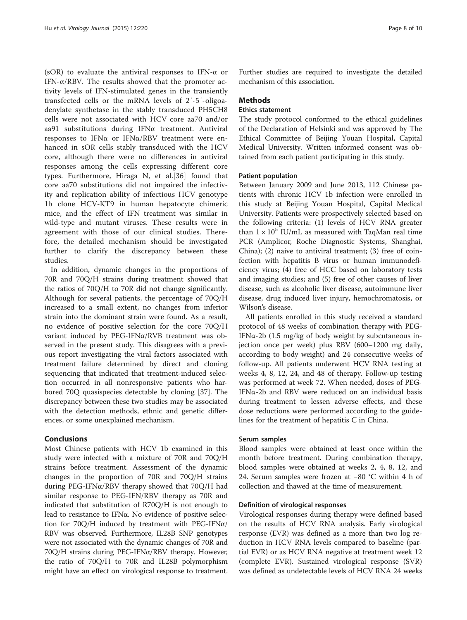(sOR) to evaluate the antiviral responses to IFN-α or IFN- $\alpha$ /RBV. The results showed that the promoter activity levels of IFN-stimulated genes in the transiently transfected cells or the mRNA levels of 2′-5′-oligoadenylate synthetase in the stably transduced PH5CH8 cells were not associated with HCV core aa70 and/or aa91 substitutions during IFNα treatment. Antiviral responses to IFN $\alpha$  or IFN $\alpha$ /RBV treatment were enhanced in sOR cells stably transduced with the HCV core, although there were no differences in antiviral responses among the cells expressing different core types. Furthermore, Hiraga N, et al.[\[36](#page-9-0)] found that core aa70 substitutions did not impaired the infectivity and replication ability of infectious HCV genotype 1b clone HCV-KT9 in human hepatocyte chimeric mice, and the effect of IFN treatment was similar in wild-type and mutant viruses. These results were in agreement with those of our clinical studies. Therefore, the detailed mechanism should be investigated further to clarify the discrepancy between these studies.

In addition, dynamic changes in the proportions of 70R and 70Q/H strains during treatment showed that the ratios of 70Q/H to 70R did not change significantly. Although for several patients, the percentage of 70Q/H increased to a small extent, no changes from inferior strain into the dominant strain were found. As a result, no evidence of positive selection for the core 70Q/H variant induced by PEG-IFNα/RVB treatment was observed in the present study. This disagrees with a previous report investigating the viral factors associated with treatment failure determined by direct and cloning sequencing that indicated that treatment-induced selection occurred in all nonresponsive patients who harbored 70Q quasispecies detectable by cloning [\[37](#page-9-0)]. The discrepancy between these two studies may be associated with the detection methods, ethnic and genetic differences, or some unexplained mechanism.

#### Conclusions

Most Chinese patients with HCV 1b examined in this study were infected with a mixture of 70R and 70Q/H strains before treatment. Assessment of the dynamic changes in the proportion of 70R and 70Q/H strains during PEG-IFNα/RBV therapy showed that 70Q/H had similar response to PEG-IFN/RBV therapy as 70R and indicated that substitution of R70Q/H is not enough to lead to resistance to IFNα. No evidence of positive selection for 70Q/H induced by treatment with PEG-IFNα/ RBV was observed. Furthermore, IL28B SNP genotypes were not associated with the dynamic changes of 70R and 70Q/H strains during PEG-IFNα/RBV therapy. However, the ratio of 70Q/H to 70R and IL28B polymorphism might have an effect on virological response to treatment. Further studies are required to investigate the detailed mechanism of this association.

#### **Methods**

#### Ethics statement

The study protocol conformed to the ethical guidelines of the Declaration of Helsinki and was approved by The Ethical Committee of Beijing Youan Hospital, Capital Medical University. Written informed consent was obtained from each patient participating in this study.

#### Patient population

Between January 2009 and June 2013, 112 Chinese patients with chronic HCV 1b infection were enrolled in this study at Beijing Youan Hospital, Capital Medical University. Patients were prospectively selected based on the following criteria: (1) levels of HCV RNA greater than  $1 \times 10^5$  IU/mL as measured with TaqMan real time PCR (Amplicor, Roche Diagnostic Systems, Shanghai, China); (2) naive to antiviral treatment; (3) free of coinfection with hepatitis B virus or human immunodeficiency virus; (4) free of HCC based on laboratory tests and imaging studies; and (5) free of other causes of liver disease, such as alcoholic liver disease, autoimmune liver disease, drug induced liver injury, hemochromatosis, or Wilson's disease.

All patients enrolled in this study received a standard protocol of 48 weeks of combination therapy with PEG-IFN $\alpha$ -2b (1.5 mg/kg of body weight by subcutaneous injection once per week) plus RBV (600–1200 mg daily, according to body weight) and 24 consecutive weeks of follow-up. All patients underwent HCV RNA testing at weeks 4, 8, 12, 24, and 48 of therapy. Follow-up testing was performed at week 72. When needed, doses of PEG-IFNα-2b and RBV were reduced on an individual basis during treatment to lessen adverse effects, and these dose reductions were performed according to the guidelines for the treatment of hepatitis C in China.

#### Serum samples

Blood samples were obtained at least once within the month before treatment. During combination therapy, blood samples were obtained at weeks 2, 4, 8, 12, and 24. Serum samples were frozen at −80 °C within 4 h of collection and thawed at the time of measurement.

#### Definition of virological responses

Virological responses during therapy were defined based on the results of HCV RNA analysis. Early virological response (EVR) was defined as a more than two log reduction in HCV RNA levels compared to baseline (partial EVR) or as HCV RNA negative at treatment week 12 (complete EVR). Sustained virological response (SVR) was defined as undetectable levels of HCV RNA 24 weeks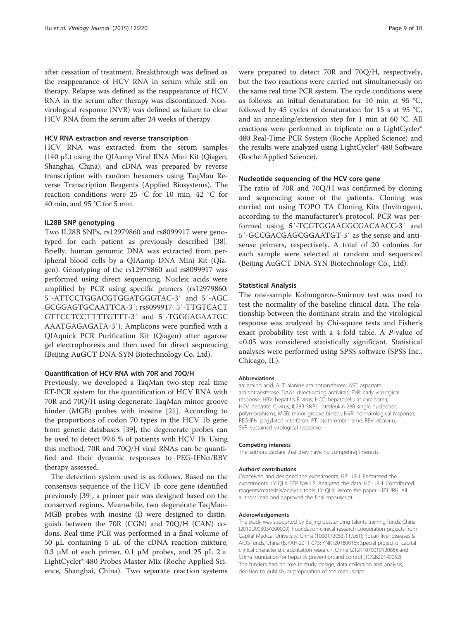after cessation of treatment. Breakthrough was defined as the reappearance of HCV RNA in serum while still on therapy. Relapse was defined as the reappearance of HCV RNA in the serum after therapy was discontinued. Nonvirological response (NVR) was defined as failure to clear HCV RNA from the serum after 24 weeks of therapy.

#### HCV RNA extraction and reverse transcription

HCV RNA was extracted from the serum samples (140 μL) using the QIAamp Viral RNA Mini Kit (Qiagen, Shanghai, China), and cDNA was prepared by reverse transcription with random hexamers using TaqMan Reverse Transcription Reagents (Applied Biosystems). The reaction conditions were 25 °C for 10 min, 42 °C for 40 min, and 95 °C for 5 min.

#### IL28B SNP genotyping

Two IL28B SNPs, rs12979860 and rs8099917 were genotyped for each patient as previously described [\[38](#page-9-0)]. Briefly, human genomic DNA was extracted from peripheral blood cells by a QIAamp DNA Mini Kit (Qiagen). Genotyping of the rs12979860 and rs8099917 was performed using direct sequencing. Nucleic acids were amplified by PCR using specific primers (rs12979860: 5′-ATTCCTGGACGTGGATGGGTAC-3′ and 5′-AGC GCGGAGTGCAATTCA-3′; rs8099917: 5′-TTGTCACT GTTCCTCCTTTTGTTT-3′ and 5′-TGGGAGAATGC AAATGAGAGATA-3′). Amplicons were purified with a QIAquick PCR Purification Kit (Qiagen) after agarose gel electrophoresis and then used for direct sequencing (Beijing AuGCT DNA-SYN Biotechnology Co. Ltd).

#### Quantification of HCV RNA with 70R and 70Q/H

Previously, we developed a TaqMan two-step real time RT-PCR system for the quantification of HCV RNA with 70R and 70Q/H using degenerate TaqMan-minor groove binder (MGB) probes with inosine [[21](#page-9-0)]. According to the proportions of codon 70 types in the HCV 1b gene from genetic databases [\[39\]](#page-9-0), the degenerate probes can be used to detect 99.6 % of patients with HCV 1b. Using this method, 70R and 70Q/H viral RNAs can be quantified and their dynamic responses to PEG-IFNα/RBV therapy assessed.

The detection system used is as follows. Based on the consensus sequence of the HCV 1b core gene identified previously [[39](#page-9-0)], a primer pair was designed based on the conserved regions. Meanwhile, two degenerate TaqMan-MGB probes with inosine (I) were designed to distinguish between the 70R (CGN) and 70Q/H (CAN) codons. Real time PCR was performed in a final volume of 50 μL containing 5 μL of the cDNA reaction mixture, 0.3 μM of each primer, 0.1 μM probes, and 25 μL  $2 \times$ LightCycler® 480 Probes Master Mix (Roche Applied Science, Shanghai, China). Two separate reaction systems

were prepared to detect 70R and 70Q/H, respectively, but the two reactions were carried out simultaneously on the same real time PCR system. The cycle conditions were as follows: an initial denaturation for 10 min at 95 °C, followed by 45 cycles of denaturation for 15 s at 95 °C, and an annealing/extension step for 1 min at 60 °C. All reactions were performed in triplicate on a LightCycler® 480 Real-Time PCR System (Roche Applied Science) and the results were analyzed using LightCycler® 480 Software (Roche Applied Science).

#### Nucleotide sequencing of the HCV core gene

The ratio of 70R and 70Q/H was confirmed by cloning and sequencing some of the patients. Cloning was carried out using TOPO TA Cloning Kits (Invitrogen), according to the manufacturer's protocol. PCR was performed using 5′-TCGTGGAAGGCGACAACC-3′ and 5′-GCCGACGAGCGGAATGT-3′ as the sense and antisense primers, respectively. A total of 20 colonies for each sample were selected at random and sequenced (Beijing AuGCT DNA-SYN Biotechnology Co., Ltd).

#### Statistical Analysis

The one-sample Kolmogorov-Smirnov test was used to test the normality of the baseline clinical data. The relationship between the dominant strain and the virological response was analyzed by Chi-square tests and Fisher's exact probability test with a 4-fold table. A P-value of <0.05 was considered statistically significant. Statistical analyses were performed using SPSS software (SPSS Inc., Chicago, IL).

#### Abbreviations

aa: amino acid; ALT: alanine aminotransferase; AST: aspartate aminotransferase; DAAs: direct-acting antivirals; EVR: early virological response; HBV: hepatitis B virus; HCC: hepatocellular carcinoma; HCV: hepatitis C virus; IL28B SNPs: interleukin 28B single nucleotide polymorphisms; MGB: minor groove binder; NVR: non-virological response; PEG-IFN: pegylated interferon; PT: prothrombin time; RBV: ribavirin; SVR: sustained virological response.

#### Competing interests

The authors declare that they have no competing interests.

#### Authors' contributions

Conceived and designed the experiments: HZJ JRH. Performed the experiments: LY QLX FZP NW LS. Analyzed the data: HZJ JRH. Contributed reagents/materials/analysis tools: LY QLX. Wrote the paper: HZJ JRH. All authors read and approved the final manuscript.

#### Acknowledgements

The study was supported by Beijing outstanding talents training funds, China (2010D003034000009); Foundation-clinical research cooperation projects from Capital Medical University, China (1000172053-11JL61); Youan liver diseases & AIDS funds, China (BJYAH-2011-073; YNKT20160016); Special project of capital clinical characteristic application research, China (Z121107001012086); and China foundation for hepatitis prevention and control (TQGB20140052). The funders had no role in study design, data collection and analysis, decision to publish, or preparation of the manuscript.